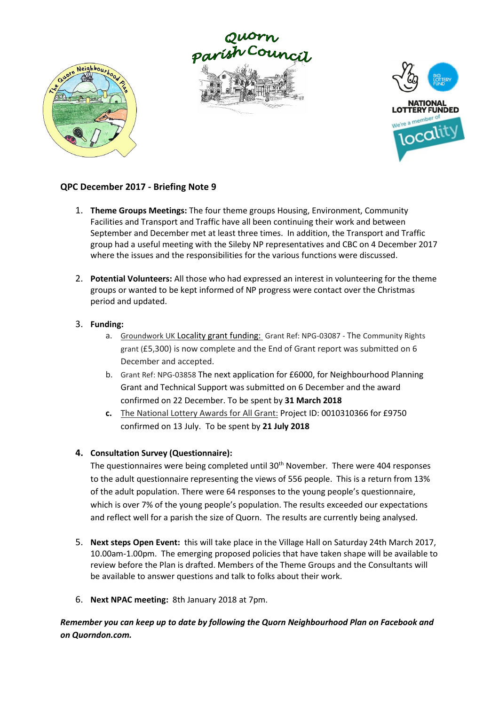





## **QPC December 2017 - Briefing Note 9**

- 1. **Theme Groups Meetings:** The four theme groups Housing, Environment, Community Facilities and Transport and Traffic have all been continuing their work and between September and December met at least three times. In addition, the Transport and Traffic group had a useful meeting with the Sileby NP representatives and CBC on 4 December 2017 where the issues and the responsibilities for the various functions were discussed.
- 2. **Potential Volunteers:** All those who had expressed an interest in volunteering for the theme groups or wanted to be kept informed of NP progress were contact over the Christmas period and updated.

## 3. **Funding:**

- a. Groundwork UK Locality grant funding: Grant Ref: NPG-03087 The Community Rights grant (£5,300) is now complete and the End of Grant report was submitted on 6 December and accepted.
- b. Grant Ref: NPG-03858 The next application for £6000, for Neighbourhood Planning Grant and Technical Support was submitted on 6 December and the award confirmed on 22 December. To be spent by **31 March 2018**
- **c.** The National Lottery Awards for All Grant: Project ID: 0010310366 for £9750 confirmed on 13 July. To be spent by **21 July 2018**

## **4. Consultation Survey (Questionnaire):**

The questionnaires were being completed until  $30<sup>th</sup>$  November. There were 404 responses to the adult questionnaire representing the views of 556 people. This is a return from 13% of the adult population. There were 64 responses to the young people's questionnaire, which is over 7% of the young people's population. The results exceeded our expectations and reflect well for a parish the size of Quorn. The results are currently being analysed.

- 5. **Next steps Open Event:** this will take place in the Village Hall on Saturday 24th March 2017, 10.00am-1.00pm. The emerging proposed policies that have taken shape will be available to review before the Plan is drafted. Members of the Theme Groups and the Consultants will be available to answer questions and talk to folks about their work.
- 6. **Next NPAC meeting:** 8th January 2018 at 7pm.

*Remember you can keep up to date by following the Quorn Neighbourhood Plan on Facebook and on Quorndon.com.*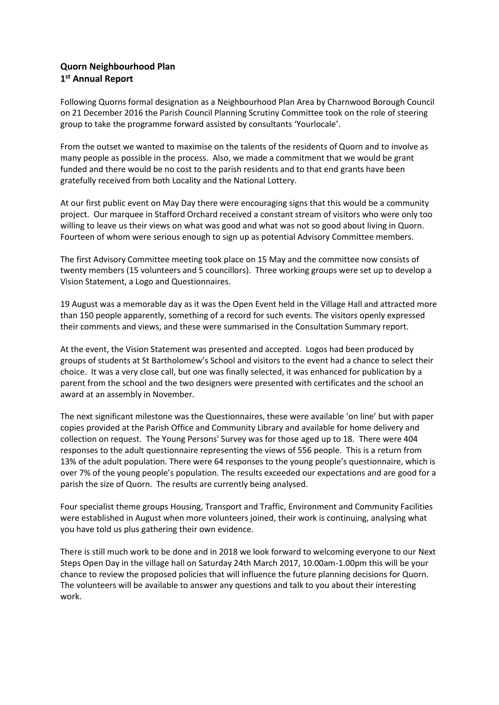## **Quorn Neighbourhood Plan 1 st Annual Report**

Following Quorns formal designation as a Neighbourhood Plan Area by Charnwood Borough Council on 21 December 2016 the Parish Council Planning Scrutiny Committee took on the role of steering group to take the programme forward assisted by consultants 'Yourlocale'.

From the outset we wanted to maximise on the talents of the residents of Quorn and to involve as many people as possible in the process. Also, we made a commitment that we would be grant funded and there would be no cost to the parish residents and to that end grants have been gratefully received from both Locality and the National Lottery.

At our first public event on May Day there were encouraging signs that this would be a community project. Our marquee in Stafford Orchard received a constant stream of visitors who were only too willing to leave us their views on what was good and what was not so good about living in Quorn. Fourteen of whom were serious enough to sign up as potential Advisory Committee members.

The first Advisory Committee meeting took place on 15 May and the committee now consists of twenty members (15 volunteers and 5 councillors). Three working groups were set up to develop a Vision Statement, a Logo and Questionnaires.

19 August was a memorable day as it was the Open Event held in the Village Hall and attracted more than 150 people apparently, something of a record for such events. The visitors openly expressed their comments and views, and these were summarised in the Consultation Summary report.

At the event, the Vision Statement was presented and accepted. Logos had been produced by groups of students at St Bartholomew's School and visitors to the event had a chance to select their choice. It was a very close call, but one was finally selected, it was enhanced for publication by a parent from the school and the two designers were presented with certificates and the school an award at an assembly in November.

The next significant milestone was the Questionnaires, these were available 'on line' but with paper copies provided at the Parish Office and Community Library and available for home delivery and collection on request. The Young Persons' Survey was for those aged up to 18. There were 404 responses to the adult questionnaire representing the views of 556 people. This is a return from 13% of the adult population. There were 64 responses to the young people's questionnaire, which is over 7% of the young people's population. The results exceeded our expectations and are good for a parish the size of Quorn. The results are currently being analysed.

Four specialist theme groups Housing, Transport and Traffic, Environment and Community Facilities were established in August when more volunteers joined, their work is continuing, analysing what you have told us plus gathering their own evidence.

There is still much work to be done and in 2018 we look forward to welcoming everyone to our Next Steps Open Day in the village hall on Saturday 24th March 2017, 10.00am-1.00pm this will be your chance to review the proposed policies that will influence the future planning decisions for Quorn. The volunteers will be available to answer any questions and talk to you about their interesting work.